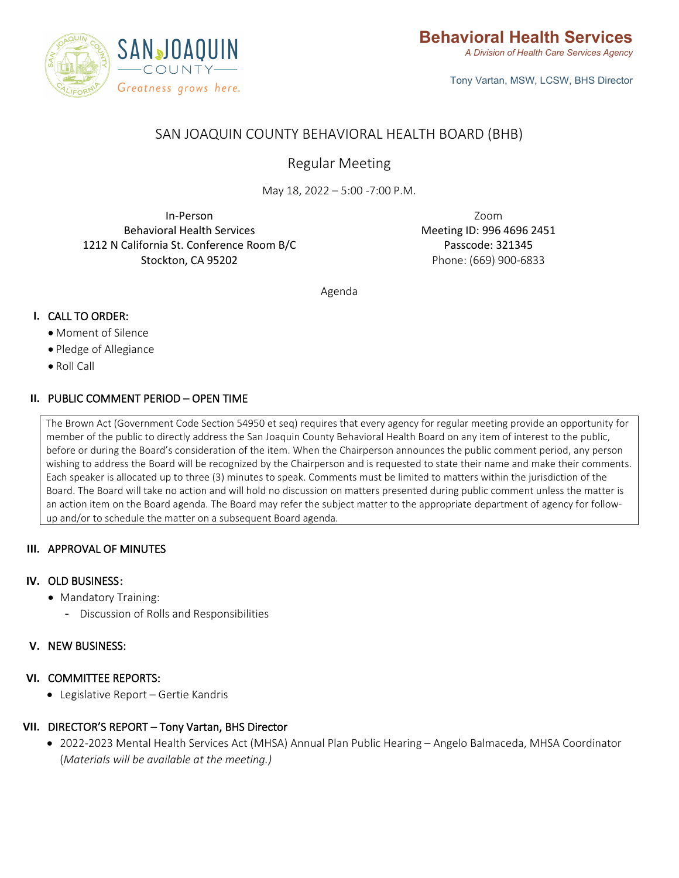

Tony Vartan, MSW, LCSW, BHS Director

# SAN JOAQUIN COUNTY BEHAVIORAL HEALTH BOARD (BHB)

Regular Meeting

May 18, 2022 – 5:00 -7:00 P.M.

In-Person Behavioral Health Services 1212 N California St. Conference Room B/C Stockton, CA 95202

Zoom Meeting ID: 996 4696 2451 Passcode: 321345 Phone: (669) 900-6833

Agenda

## **I.** CALL TO ORDER:

- Moment of Silence
- Pledge of Allegiance
- Roll Call

### **II.** PUBLIC COMMENT PERIOD – OPEN TIME

The Brown Act (Government Code Section 54950 et seq) requires that every agency for regular meeting provide an opportunity for member of the public to directly address the San Joaquin County Behavioral Health Board on any item of interest to the public, before or during the Board's consideration of the item. When the Chairperson announces the public comment period, any person wishing to address the Board will be recognized by the Chairperson and is requested to state their name and make their comments. Each speaker is allocated up to three (3) minutes to speak. Comments must be limited to matters within the jurisdiction of the Board. The Board will take no action and will hold no discussion on matters presented during public comment unless the matter is an action item on the Board agenda. The Board may refer the subject matter to the appropriate department of agency for followup and/or to schedule the matter on a subsequent Board agenda.

#### **III.** APPROVAL OF MINUTES

#### **IV.** OLD BUSINESS:

- Mandatory Training:
	- Discussion of Rolls and Responsibilities

#### **V.** NEW BUSINESS:

#### **VI.** COMMITTEE REPORTS:

• Legislative Report – Gertie Kandris

## **VII.** DIRECTOR'S REPORT – Tony Vartan, BHS Director

• 2022-2023 Mental Health Services Act (MHSA) Annual Plan Public Hearing – Angelo Balmaceda, MHSA Coordinator (*Materials will be available at the meeting.)*